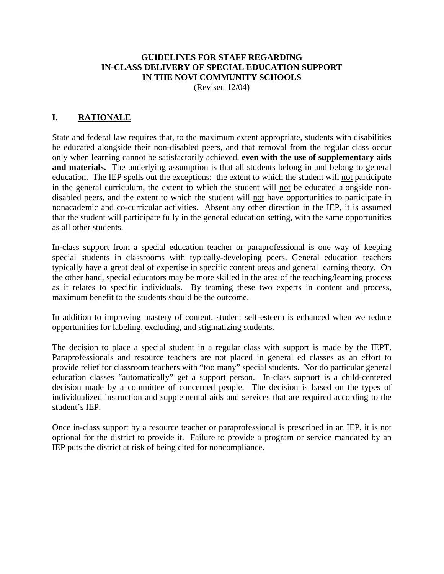## **GUIDELINES FOR STAFF REGARDING IN-CLASS DELIVERY OF SPECIAL EDUCATION SUPPORT IN THE NOVI COMMUNITY SCHOOLS**

(Revised 12/04)

## **I. RATIONALE**

State and federal law requires that, to the maximum extent appropriate, students with disabilities be educated alongside their non-disabled peers, and that removal from the regular class occur only when learning cannot be satisfactorily achieved, **even with the use of supplementary aids**  and materials. The underlying assumption is that all students belong in and belong to general education. The IEP spells out the exceptions: the extent to which the student will not participate in the general curriculum, the extent to which the student will not be educated alongside nondisabled peers, and the extent to which the student will not have opportunities to participate in nonacademic and co-curricular activities. Absent any other direction in the IEP, it is assumed that the student will participate fully in the general education setting, with the same opportunities as all other students.

In-class support from a special education teacher or paraprofessional is one way of keeping special students in classrooms with typically-developing peers. General education teachers typically have a great deal of expertise in specific content areas and general learning theory. On the other hand, special educators may be more skilled in the area of the teaching/learning process as it relates to specific individuals. By teaming these two experts in content and process, maximum benefit to the students should be the outcome.

In addition to improving mastery of content, student self-esteem is enhanced when we reduce opportunities for labeling, excluding, and stigmatizing students.

The decision to place a special student in a regular class with support is made by the IEPT. Paraprofessionals and resource teachers are not placed in general ed classes as an effort to provide relief for classroom teachers with "too many" special students. Nor do particular general education classes "automatically" get a support person. In-class support is a child-centered decision made by a committee of concerned people. The decision is based on the types of individualized instruction and supplemental aids and services that are required according to the student's IEP.

Once in-class support by a resource teacher or paraprofessional is prescribed in an IEP, it is not optional for the district to provide it. Failure to provide a program or service mandated by an IEP puts the district at risk of being cited for noncompliance.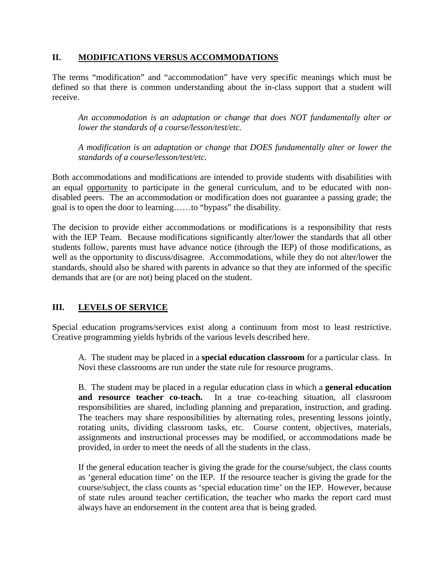## **II. MODIFICATIONS VERSUS ACCOMMODATIONS**

The terms "modification" and "accommodation" have very specific meanings which must be defined so that there is common understanding about the in-class support that a student will receive.

*An accommodation is an adaptation or change that does NOT fundamentally alter or lower the standards of a course/lesson/test/etc.* 

*A modification is an adaptation or change that DOES fundamentally alter or lower the standards of a course/lesson/test/etc.* 

Both accommodations and modifications are intended to provide students with disabilities with an equal opportunity to participate in the general curriculum, and to be educated with nondisabled peers. The an accommodation or modification does not guarantee a passing grade; the goal is to open the door to learning……to "bypass" the disability.

The decision to provide either accommodations or modifications is a responsibility that rests with the IEP Team. Because modifications significantly alter/lower the standards that all other students follow, parents must have advance notice (through the IEP) of those modifications, as well as the opportunity to discuss/disagree. Accommodations, while they do not alter/lower the standards, should also be shared with parents in advance so that they are informed of the specific demands that are (or are not) being placed on the student.

# **III. LEVELS OF SERVICE**

Special education programs/services exist along a continuum from most to least restrictive. Creative programming yields hybrids of the various levels described here.

A. The student may be placed in a **special education classroom** for a particular class. In Novi these classrooms are run under the state rule for resource programs.

B. The student may be placed in a regular education class in which a **general education and resource teacher co-teach.** In a true co-teaching situation, all classroom responsibilities are shared, including planning and preparation, instruction, and grading. The teachers may share responsibilities by alternating roles, presenting lessons jointly, rotating units, dividing classroom tasks, etc. Course content, objectives, materials, assignments and instructional processes may be modified, or accommodations made be provided, in order to meet the needs of all the students in the class.

If the general education teacher is giving the grade for the course/subject, the class counts as 'general education time' on the IEP. If the resource teacher is giving the grade for the course/subject, the class counts as 'special education time' on the IEP. However, because of state rules around teacher certification, the teacher who marks the report card must always have an endorsement in the content area that is being graded.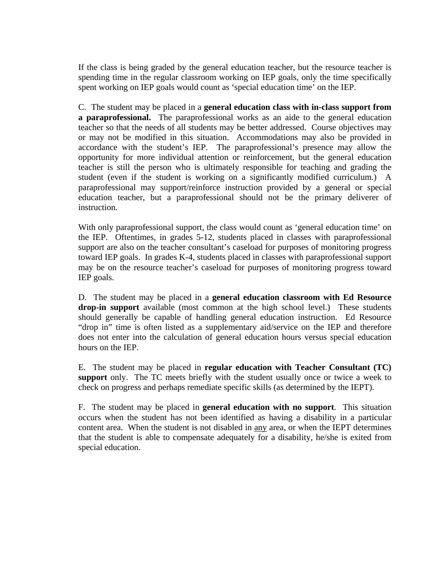If the class is being graded by the general education teacher, but the resource teacher is spending time in the regular classroom working on IEP goals, only the time specifically spent working on IEP goals would count as 'special education time' on the IEP.

C. The student may be placed in a **general education class with in-class support from a paraprofessional.** The paraprofessional works as an aide to the general education teacher so that the needs of all students may be better addressed. Course objectives may or may not be modified in this situation. Accommodations may also be provided in accordance with the student's IEP. The paraprofessional's presence may allow the opportunity for more individual attention or reinforcement, but the general education teacher is still the person who is ultimately responsible for teaching and grading the student (even if the student is working on a significantly modified curriculum.) A paraprofessional may support/reinforce instruction provided by a general or special education teacher, but a paraprofessional should not be the primary deliverer of instruction.

With only paraprofessional support, the class would count as 'general education time' on the IEP. Oftentimes, in grades 5-12, students placed in classes with paraprofessional support are also on the teacher consultant's caseload for purposes of monitoring progress toward IEP goals. In grades K-4, students placed in classes with paraprofessional support may be on the resource teacher's caseload for purposes of monitoring progress toward IEP goals.

D. The student may be placed in a **general education classroom with Ed Resource drop-in support** available (most common at the high school level.) These students should generally be capable of handling general education instruction. Ed Resource "drop in" time is often listed as a supplementary aid/service on the IEP and therefore does not enter into the calculation of general education hours versus special education hours on the IEP.

E. The student may be placed in **regular education with Teacher Consultant (TC) support** only. The TC meets briefly with the student usually once or twice a week to check on progress and perhaps remediate specific skills (as determined by the IEPT).

F. The student may be placed in **general education with no support**. This situation occurs when the student has not been identified as having a disability in a particular content area. When the student is not disabled in any area, or when the IEPT determines that the student is able to compensate adequately for a disability, he/she is exited from special education.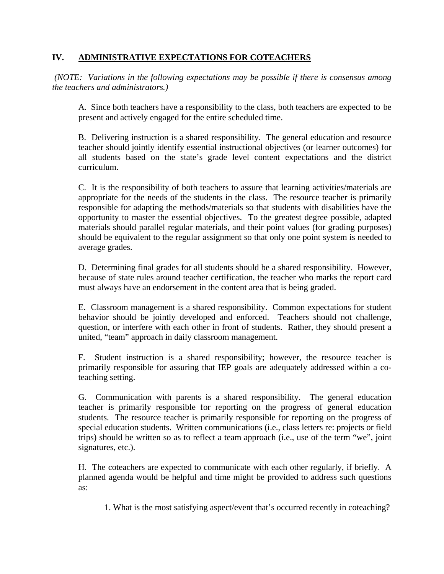## **IV. ADMINISTRATIVE EXPECTATIONS FOR COTEACHERS**

 *(NOTE: Variations in the following expectations may be possible if there is consensus among the teachers and administrators.)* 

A. Since both teachers have a responsibility to the class, both teachers are expected to be present and actively engaged for the entire scheduled time.

B. Delivering instruction is a shared responsibility. The general education and resource teacher should jointly identify essential instructional objectives (or learner outcomes) for all students based on the state's grade level content expectations and the district curriculum.

C. It is the responsibility of both teachers to assure that learning activities/materials are appropriate for the needs of the students in the class. The resource teacher is primarily responsible for adapting the methods/materials so that students with disabilities have the opportunity to master the essential objectives. To the greatest degree possible, adapted materials should parallel regular materials, and their point values (for grading purposes) should be equivalent to the regular assignment so that only one point system is needed to average grades.

D. Determining final grades for all students should be a shared responsibility. However, because of state rules around teacher certification, the teacher who marks the report card must always have an endorsement in the content area that is being graded.

E. Classroom management is a shared responsibility. Common expectations for student behavior should be jointly developed and enforced. Teachers should not challenge, question, or interfere with each other in front of students. Rather, they should present a united, "team" approach in daily classroom management.

F. Student instruction is a shared responsibility; however, the resource teacher is primarily responsible for assuring that IEP goals are adequately addressed within a coteaching setting.

G. Communication with parents is a shared responsibility. The general education teacher is primarily responsible for reporting on the progress of general education students. The resource teacher is primarily responsible for reporting on the progress of special education students. Written communications (i.e., class letters re: projects or field trips) should be written so as to reflect a team approach (i.e., use of the term "we", joint signatures, etc.).

H. The coteachers are expected to communicate with each other regularly, if briefly. A planned agenda would be helpful and time might be provided to address such questions as:

1. What is the most satisfying aspect/event that's occurred recently in coteaching?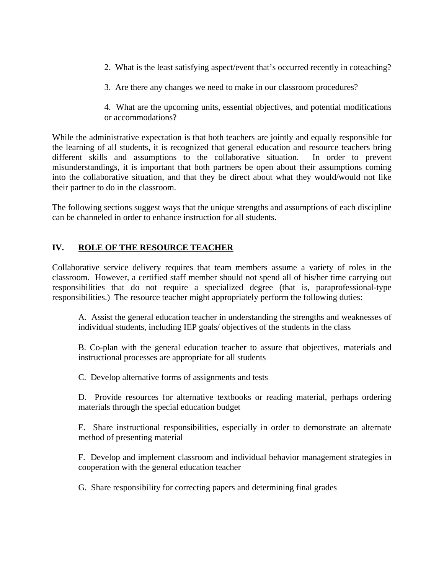- 2. What is the least satisfying aspect/event that's occurred recently in coteaching?
- 3. Are there any changes we need to make in our classroom procedures?
- 4. What are the upcoming units, essential objectives, and potential modifications or accommodations?

While the administrative expectation is that both teachers are jointly and equally responsible for the learning of all students, it is recognized that general education and resource teachers bring different skills and assumptions to the collaborative situation. In order to prevent misunderstandings, it is important that both partners be open about their assumptions coming into the collaborative situation, and that they be direct about what they would/would not like their partner to do in the classroom.

The following sections suggest ways that the unique strengths and assumptions of each discipline can be channeled in order to enhance instruction for all students.

#### **IV. ROLE OF THE RESOURCE TEACHER**

Collaborative service delivery requires that team members assume a variety of roles in the classroom. However, a certified staff member should not spend all of his/her time carrying out responsibilities that do not require a specialized degree (that is, paraprofessional-type responsibilities.) The resource teacher might appropriately perform the following duties:

A. Assist the general education teacher in understanding the strengths and weaknesses of individual students, including IEP goals/ objectives of the students in the class

B. Co-plan with the general education teacher to assure that objectives, materials and instructional processes are appropriate for all students

C. Develop alternative forms of assignments and tests

D. Provide resources for alternative textbooks or reading material, perhaps ordering materials through the special education budget

E. Share instructional responsibilities, especially in order to demonstrate an alternate method of presenting material

F. Develop and implement classroom and individual behavior management strategies in cooperation with the general education teacher

G. Share responsibility for correcting papers and determining final grades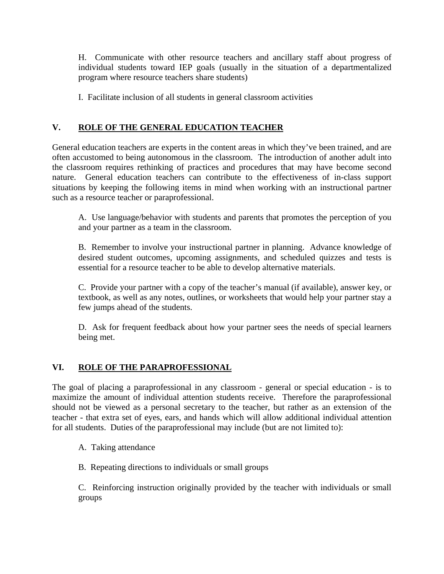H. Communicate with other resource teachers and ancillary staff about progress of individual students toward IEP goals (usually in the situation of a departmentalized program where resource teachers share students)

I. Facilitate inclusion of all students in general classroom activities

# **V. ROLE OF THE GENERAL EDUCATION TEACHER**

General education teachers are experts in the content areas in which they've been trained, and are often accustomed to being autonomous in the classroom. The introduction of another adult into the classroom requires rethinking of practices and procedures that may have become second nature. General education teachers can contribute to the effectiveness of in-class support situations by keeping the following items in mind when working with an instructional partner such as a resource teacher or paraprofessional.

A. Use language/behavior with students and parents that promotes the perception of you and your partner as a team in the classroom.

B. Remember to involve your instructional partner in planning. Advance knowledge of desired student outcomes, upcoming assignments, and scheduled quizzes and tests is essential for a resource teacher to be able to develop alternative materials.

C. Provide your partner with a copy of the teacher's manual (if available), answer key, or textbook, as well as any notes, outlines, or worksheets that would help your partner stay a few jumps ahead of the students.

D. Ask for frequent feedback about how your partner sees the needs of special learners being met.

# **VI. ROLE OF THE PARAPROFESSIONAL**

The goal of placing a paraprofessional in any classroom - general or special education - is to maximize the amount of individual attention students receive. Therefore the paraprofessional should not be viewed as a personal secretary to the teacher, but rather as an extension of the teacher - that extra set of eyes, ears, and hands which will allow additional individual attention for all students. Duties of the paraprofessional may include (but are not limited to):

A. Taking attendance

B. Repeating directions to individuals or small groups

C. Reinforcing instruction originally provided by the teacher with individuals or small groups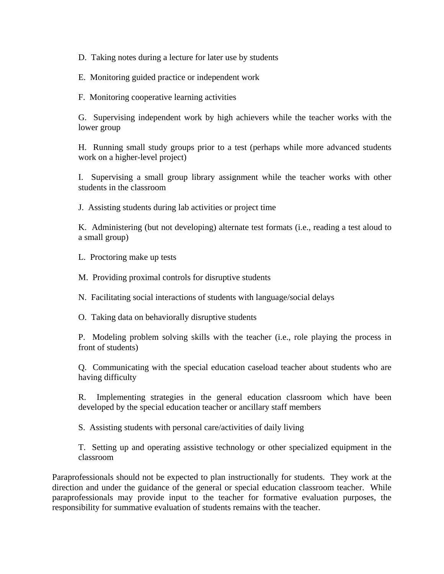D. Taking notes during a lecture for later use by students

E. Monitoring guided practice or independent work

F. Monitoring cooperative learning activities

G. Supervising independent work by high achievers while the teacher works with the lower group

H. Running small study groups prior to a test (perhaps while more advanced students work on a higher-level project)

I. Supervising a small group library assignment while the teacher works with other students in the classroom

J. Assisting students during lab activities or project time

K. Administering (but not developing) alternate test formats (i.e., reading a test aloud to a small group)

L. Proctoring make up tests

M. Providing proximal controls for disruptive students

N. Facilitating social interactions of students with language/social delays

O. Taking data on behaviorally disruptive students

P. Modeling problem solving skills with the teacher (i.e., role playing the process in front of students)

Q. Communicating with the special education caseload teacher about students who are having difficulty

R. Implementing strategies in the general education classroom which have been developed by the special education teacher or ancillary staff members

S. Assisting students with personal care/activities of daily living

T. Setting up and operating assistive technology or other specialized equipment in the classroom

Paraprofessionals should not be expected to plan instructionally for students. They work at the direction and under the guidance of the general or special education classroom teacher. While paraprofessionals may provide input to the teacher for formative evaluation purposes, the responsibility for summative evaluation of students remains with the teacher.